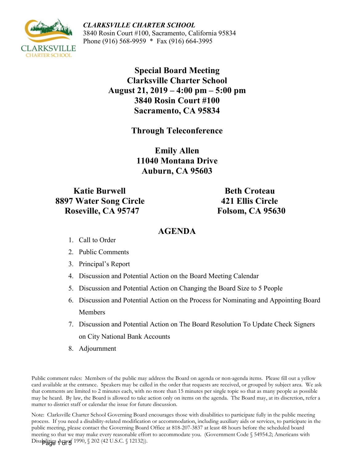*CLARKSVILLE CHARTER SCHOOL* 3840 Rosin Court #100, Sacramento, California 95834 Phone (916) 568-9959 \* Fax (916) 664-3995

> **Special Board Meeting Clarksville Charter School August 21, 2019 – 4:00 pm – 5:00 pm 3840 Rosin Court #100 Sacramento, CA 95834**

> > **Through Teleconference**

**Emily Allen 11040 Montana Drive Auburn, CA 95603**

**Katie Burwell Beth Croteau 8897 Water Song Circle 421 Ellis Circle Roseville, CA 95747 Folsom, CA 95630** 

# **AGENDA**

- 1. Call to Order
- 2. Public Comments
- 3. Principal's Report
- 4. Discussion and Potential Action on the Board Meeting Calendar
- 5. Discussion and Potential Action on Changing the Board Size to 5 People
- 6. Discussion and Potential Action on the Process for Nominating and Appointing Board Members
- 7. Discussion and Potential Action on The Board Resolution To Update Check Signers on City National Bank Accounts
- 8. Adjournment

Public comment rules: Members of the public may address the Board on agenda or non-agenda items. Please fill out a yellow card available at the entrance. Speakers may be called in the order that requests are received, or grouped by subject area. We ask that comments are limited to 2 minutes each, with no more than 15 minutes per single topic so that as many people as possible may be heard. By law, the Board is allowed to take action only on items on the agenda. The Board may, at its discretion, refer a matter to district staff or calendar the issue for future discussion.

Note: Clarksville Charter School Governing Board encourages those with disabilities to participate fully in the public meeting process. If you need a disability-related modification or accommodation, including auxiliary aids or services, to participate in the public meeting, please contact the Governing Board Office at 818-207-3837 at least 48 hours before the scheduled board meeting so that we may make every reasonable effort to accommodate you. (Government Code § 54954.2; Americans with Disabilities Actrof 1990, § 202 (42 U.S.C. § 12132)).

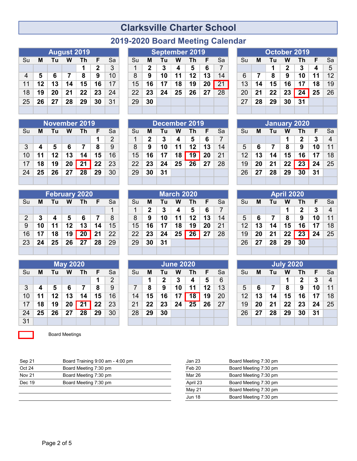# **Clarksville Charter School**

| 2019-2020 Board Meeting Calendar |  |  |  |
|----------------------------------|--|--|--|
|----------------------------------|--|--|--|

|    |    |    | <b>August 2019</b> |    |              |    |
|----|----|----|--------------------|----|--------------|----|
| Su | М  | Τu | W                  | Th | F            | Sa |
|    |    |    |                    | 1  | $\mathbf{2}$ | 3  |
| 4  | 5  | 6  | 7                  | 8  | 9            | 10 |
| 11 | 12 | 13 | 14                 | 15 | 16           | 17 |
| 18 | 19 | 20 | 21                 | 22 | 23           | 24 |
| 25 | 26 | 27 | 28                 | 29 | 30           | 31 |
|    |    |    |                    |    |              |    |

|    |    |    |    | <b>November 2019</b> |    |    |
|----|----|----|----|----------------------|----|----|
| Su | М  | Τu | w  | Τh                   | F  | Sa |
|    |    |    |    |                      | 1  | 2  |
| 3  | 4  | 5  | 6  | 7                    | 8  | 9  |
| 10 | 11 | 12 | 13 | 14                   | 15 | 16 |
| 17 | 18 | 19 | 20 | 21                   | 22 | 23 |
| 24 | 25 | 26 | 27 | -28                  | 29 | 30 |
|    |    |    |    |                      |    |    |

|    |    |    |            | <b>February 2020</b> |    |    |
|----|----|----|------------|----------------------|----|----|
| Su | м  | Tu | W          | <b>Th</b>            | E  | Sa |
|    |    |    |            |                      |    | 1  |
| 2  | 3  | 4  | $\sqrt{5}$ | 6                    | 7  | 8  |
| 9  | 10 | 11 | 12         | 13                   | 14 | 15 |
| 16 | 17 | 18 | 19         | $\overline{20}$      | 21 | 22 |
| 23 | 24 | 25 | 26         | - 27                 | 28 | 29 |
|    |    |    |            |                      |    |    |

|    |    |    | <b>May 2020</b> |    |    |    |
|----|----|----|-----------------|----|----|----|
| Su | Μ  | Τu | W               | Τh | F  | Sa |
|    |    |    |                 |    | 1  | 2  |
| 3  | 4  | 5  | 6               | 7  | 8  | 9  |
| 10 | 11 | 12 | 13              | 14 | 15 | 16 |
| 17 | 18 | 19 | 20              | 21 | 22 | 23 |
| 24 | 25 | 26 | 27              | 28 | 29 | 30 |
| 31 |    |    |                 |    |    |    |

 $\mathcal{L}(\mathcal{A})$ 

Board Meetings

|  |  | <b>August 2019</b>              |  |  |  | September 2019                                         |  |  |  | October 2019             |  |
|--|--|---------------------------------|--|--|--|--------------------------------------------------------|--|--|--|--------------------------|--|
|  |  | Su <b>M</b> Tu <b>W</b> Th F Sa |  |  |  | $\vert$ Su <b>M</b> Tu <b>W</b> Th <b>F</b> Sa $\vert$ |  |  |  | Su <b>M Tu W Th F</b> Sa |  |

|  |  |                      | <b>૩u Mu lu wi lii r ૩</b> a l |         |  | $30$ M IU W III F $34$             |                                     |  |                                      | $30$ M IU W III F $34$           |  |
|--|--|----------------------|--------------------------------|---------|--|------------------------------------|-------------------------------------|--|--------------------------------------|----------------------------------|--|
|  |  | $1 \mid 2 \mid 3$    |                                |         |  | $1$   2   3   4   5   6   7        |                                     |  |                                      | $1 \ 1 \ 2 \ 3 \ 4 \ 5$          |  |
|  |  | $4$ 5 6 7 8 9 10     |                                |         |  |                                    | 8 9 10 11 12 13 14 6 7 8 9 10 11 12 |  |                                      |                                  |  |
|  |  | 11 12 13 14 15 16 17 |                                |         |  |                                    | $15$ 16 17 18 19 20 21              |  |                                      | 13   14   15   16   17   18   19 |  |
|  |  | 18 19 20 21 22 23 24 |                                |         |  | $22$   23   24   25   26   27   28 |                                     |  |                                      | 20 21 22 23 24 25 26             |  |
|  |  | 25 26 27 28 29 30 31 |                                | $29$ 30 |  |                                    |                                     |  | $27 \mid 28 \mid 29 \mid 30 \mid 31$ |                                  |  |
|  |  |                      |                                |         |  |                                    |                                     |  |                                      |                                  |  |

|                 |    |    |    | November 2019 |    |    |    |    |    |    | December 2019 |    |    |                 |    | January 2020 |    |    |    |                |
|-----------------|----|----|----|---------------|----|----|----|----|----|----|---------------|----|----|-----------------|----|--------------|----|----|----|----------------|
| Su              | м  | Τu | w  | Th            |    | Sa | Su | M  | Tu | W  | Th            |    | Sa | Su              | м  | Tul          | W  | Th |    | Sа             |
|                 |    |    |    |               |    | っ  |    | 2  |    | Δ  | 5             | 6  |    |                 |    |              |    | כי | 3  | $\overline{4}$ |
| 3               |    | 5  |    |               | 8  | 9  | 8  | 9  | 10 | 11 | 12            | 13 | 14 | 5               |    |              | 8  | 9  | 10 | 11             |
| 10 <sup>°</sup> | 11 | 12 | 13 | 14            | 15 | 16 | 15 | 16 | 17 | 18 | 19            | 20 | 21 | 12 <sup>°</sup> | 13 | 14           | 15 | 16 | 17 | 18             |
| 17              | 18 | 19 | 20 | 21            | 22 | 23 | 22 | 23 | 24 | 25 | 26            | 27 | 28 | 19              | 20 | 21           | 22 | 23 | 24 | 25             |
| 24              | 25 | 26 | 27 | 28            | 29 | 30 | 29 | 30 | 31 |    |               |    |    | 26              | 27 | 28           | 29 | 30 | 31 |                |
|                 |    |    |    |               |    |    |    |    |    |    |               |    |    |                 |    |              |    |    |    |                |

|                                   |    | February 2020 |    |                 |    |    |    |    |    | <b>March 2020</b> |    |    |    |                 |    |    | <b>April 2020</b> |    |    |                |
|-----------------------------------|----|---------------|----|-----------------|----|----|----|----|----|-------------------|----|----|----|-----------------|----|----|-------------------|----|----|----------------|
| $\overline{\mathsf{S}}\mathsf{u}$ | м  | Τu            | w  | Th              |    | Sa | Su | M  | Τu | w                 | Τh |    | Sa | Su              | м  | Tu | W                 | Τh | F  | Sa             |
|                                   |    |               |    |                 |    |    |    | 2  |    | 4                 | 5  | 6  |    |                 |    |    |                   | כי | 3  | $\overline{4}$ |
| $\overline{2}$                    | 3  |               | 5  | 6               |    | 8  | 8  | 9  | 10 | 11                | 12 | 13 | 14 | 5               | 6  |    | 8                 | 9  | 10 | 11             |
| 9                                 | 10 |               | 12 | 13              | 14 | 15 | 15 | 16 | 17 | 18                | 19 | 20 | 21 | 12 <sup>2</sup> | 13 | 14 | 15                | 16 | 17 | 18             |
| 16                                | 17 | 18            | 19 | $\overline{20}$ | 21 | 22 | 22 | 23 | 24 | 25                | 26 | 27 | 28 | 19              | 20 | 21 | 22                | 23 | 24 | 25             |
| 23                                | 24 | 25            | 26 | 27              | 28 | 29 | 29 | 30 | 31 |                   |    |    |    | 26              | 27 | 28 | 29                | 30 |    |                |
|                                   |    |               |    |                 |    |    |    |    |    |                   |    |    |    |                 |    |    |                   |    |    |                |

|                 |    |         | <b>May 2020</b> |    |    |                |    |    |    | <b>June 2020</b> |    |    |           |              |    |    | <b>July 2020</b> |    |    |                |
|-----------------|----|---------|-----------------|----|----|----------------|----|----|----|------------------|----|----|-----------|--------------|----|----|------------------|----|----|----------------|
| Su              | м  | Τu      | W               | Τh | F. | Sa             | Su | M  | Tu | W                | Th | F. | <b>Sa</b> | Su           | M  | Τu | W                | Τh | F  | -Sa            |
|                 |    |         |                 |    |    | $\overline{2}$ |    |    | 2  | 3                | 4  | 5  | 6         |              |    |    |                  | 2  | 3  | $\overline{4}$ |
| 3               |    | 5       |                 |    | 8  | 9              |    | 8  | 9  | 10               | 11 | 12 | 13        | 5            | 6  |    | 8                | 9  | 10 | 11             |
| 10 <sup>1</sup> | 11 | $12 \,$ | 13              | 14 | 15 | 16             | 14 | 15 | 16 |                  | 18 | 19 | 20        | $12^{\circ}$ | 13 | 14 | 15               | 16 | 17 | 18             |
| 17              | 18 | 19      | 20              | 21 | 22 | 23             | 21 | 22 | 23 | 24               | 25 | 26 | 27        | 19           | 20 | 21 | 22               | 23 | 24 | 25             |
| 24              | 25 | 26      | 27              | 28 | 29 | 30             | 28 | 29 | 30 |                  |    |    |           | 26           | 27 | 28 | 29               | 30 | 31 |                |
| $\overline{31}$ |    |         |                 |    |    |                |    |    |    |                  |    |    |           |              |    |    |                  |    |    |                |

|    |    |    |              | October 2019 |    |    |
|----|----|----|--------------|--------------|----|----|
| Su | м  | Τu | w            | Τh           | F  | Sа |
|    |    | 1  | $\mathbf{2}$ | 3            | 4  | 5  |
| 6  | 7  | 8  | 9            | 10           | 11 | 12 |
| 13 | 14 | 15 | 16           | 17           | 18 | 19 |
| 20 | 21 | 22 | 23           | 24           | 25 | 26 |
| 27 | 28 | 29 | 30           | 31           |    |    |
|    |    |    |              |              |    |    |

|    |    |    |    | <b>January 2020</b> |    |    |
|----|----|----|----|---------------------|----|----|
| Su | М  | Τu | w  | Th                  | F. | Sa |
|    |    |    | 1  | $\mathbf 2$         | 3  | 4  |
| 5  | 6  | 7  | 8  | 9                   | 10 | 11 |
| 12 | 13 | 14 | 15 | 16                  | 17 | 18 |
| 19 | 20 | 21 | 22 | 23                  | 24 | 25 |
| 26 | 27 | 28 | 29 | 30                  | 31 |    |
|    |    |    |    |                     |    |    |

| April 2020 |    |    |    |    |    |    |
|------------|----|----|----|----|----|----|
| Su         | М  | Tu | w  | Th | F  | Sa |
|            |    |    | 1  | 2  | 3  | 4  |
| 5          | 6  | 7  | 8  | 9  | 10 | 11 |
| 12         | 13 | 14 | 15 | 16 | 17 | 18 |
| 19         | 20 | 21 | 22 | 23 | 24 | 25 |
| 26         | 27 | 28 | 29 | 30 |    |    |
|            |    |    |    |    |    |    |

| <b>July 2020</b> |    |    |    |              |    |    |
|------------------|----|----|----|--------------|----|----|
| Su               | M  | Τu | W  | Th           | F  | Sa |
|                  |    |    | 1  | $\mathbf{2}$ | 3  | 4  |
| 5                | 6  | 7  | 8  | 9            | 10 | 11 |
| 12               | 13 | 14 | 15 | 16           | 17 | 18 |
| 19               | 20 | 21 | 22 | 23           | 24 | 25 |
| 26               | 27 | 28 | 29 | 30           | 31 |    |
|                  |    |    |    |              |    |    |

| Sep 21        | Board Training 9:00 am - 4:00 pm | Jan 23        | Board Meeting 7:30 pm |
|---------------|----------------------------------|---------------|-----------------------|
| Oct 24        | Board Meeting 7:30 pm            | Feb 20        | Board Meeting 7:30 pm |
| <b>Nov 21</b> | Board Meeting 7:30 pm            | Mar 26        | Board Meeting 7:30 pm |
| Dec 19        | Board Meeting 7:30 pm            | April 23      | Board Meeting 7:30 pm |
|               |                                  | May 21        | Board Meeting 7:30 pm |
|               |                                  | <b>Jun 18</b> | Board Meeting 7:30 pm |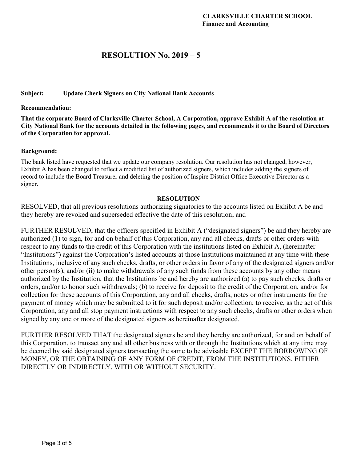## **RESOLUTION No. 2019 – 5**

### **Subject: Update Check Signers on City National Bank Accounts**

#### **Recommendation:**

**That the corporate Board of Clarksville Charter School, A Corporation, approve Exhibit A of the resolution at City National Bank for the accounts detailed in the following pages, and recommends it to the Board of Directors of the Corporation for approval.** 

#### **Background:**

The bank listed have requested that we update our company resolution. Our resolution has not changed, however, Exhibit A has been changed to reflect a modified list of authorized signers, which includes adding the signers of record to include the Board Treasurer and deleting the position of Inspire District Office Executive Director as a signer.

#### **RESOLUTION**

RESOLVED, that all previous resolutions authorizing signatories to the accounts listed on Exhibit A be and they hereby are revoked and superseded effective the date of this resolution; and

FURTHER RESOLVED, that the officers specified in Exhibit A ("designated signers") be and they hereby are authorized (1) to sign, for and on behalf of this Corporation, any and all checks, drafts or other orders with respect to any funds to the credit of this Corporation with the institutions listed on Exhibit A, (hereinafter "Institutions") against the Corporation's listed accounts at those Institutions maintained at any time with these Institutions, inclusive of any such checks, drafts, or other orders in favor of any of the designated signers and/or other person(s), and/or (ii) to make withdrawals of any such funds from these accounts by any other means authorized by the Institution, that the Institutions be and hereby are authorized (a) to pay such checks, drafts or orders, and/or to honor such withdrawals; (b) to receive for deposit to the credit of the Corporation, and/or for collection for these accounts of this Corporation, any and all checks, drafts, notes or other instruments for the payment of money which may be submitted to it for such deposit and/or collection; to receive, as the act of this Corporation, any and all stop payment instructions with respect to any such checks, drafts or other orders when signed by any one or more of the designated signers as hereinafter designated.

FURTHER RESOLVED THAT the designated signers be and they hereby are authorized, for and on behalf of this Corporation, to transact any and all other business with or through the Institutions which at any time may be deemed by said designated signers transacting the same to be advisable EXCEPT THE BORROWING OF MONEY, OR THE OBTAINING OF ANY FORM OF CREDIT, FROM THE INSTITUTIONS, EITHER DIRECTLY OR INDIRECTLY, WITH OR WITHOUT SECURITY.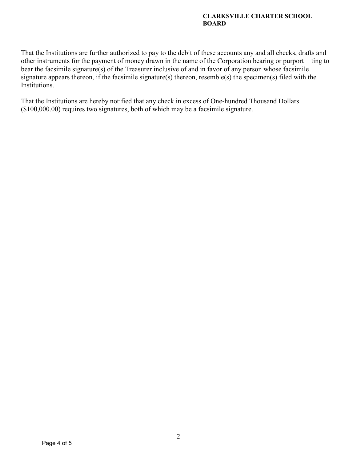## **CLARKSVILLE CHARTER SCHOOL BOARD**

That the Institutions are further authorized to pay to the debit of these accounts any and all checks, drafts and other instruments for the payment of money drawn in the name of the Corporation bearing or purport ting to bear the facsimile signature(s) of the Treasurer inclusive of and in favor of any person whose facsimile signature appears thereon, if the facsimile signature(s) thereon, resemble(s) the specimen(s) filed with the Institutions.

That the Institutions are hereby notified that any check in excess of One-hundred Thousand Dollars (\$100,000.00) requires two signatures, both of which may be a facsimile signature.